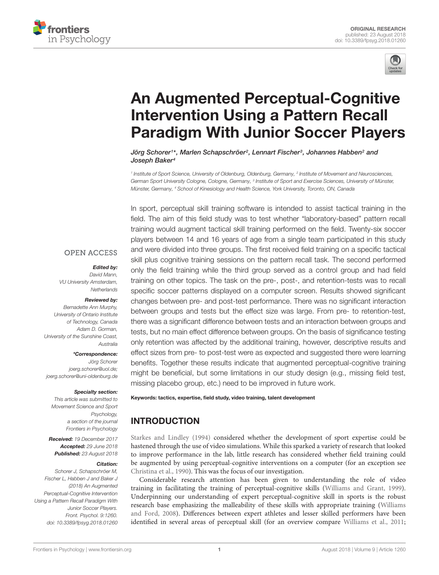



# An Augmented Perceptual-Cognitive Intervention Using a Pattern Recall [Paradigm With Junior Soccer Players](https://www.frontiersin.org/articles/10.3389/fpsyg.2018.01260/full)

[Jörg Schorer](http://loop.frontiersin.org/people/22012/overview)1\*, [Marlen Schapschröer](http://loop.frontiersin.org/people/530065/overview)<sup>2</sup>, [Lennart Fischer](http://loop.frontiersin.org/people/108383/overview)<sup>3</sup>, [Johannes Habben](http://loop.frontiersin.org/people/551037/overview)<sup>2</sup> and [Joseph Baker](http://loop.frontiersin.org/people/42895/overview)<sup>4</sup>

<sup>1</sup> Institute of Sport Science, University of Oldenburg, Oldenburg, Germany, <sup>2</sup> Institute of Movement and Neurosciences, German Sport University Cologne, Cologne, Germany, <sup>3</sup> Institute of Sport and Exercise Sciences, University of Münster, Münster, Germany, <sup>4</sup> School of Kinesiology and Health Science, York University, Toronto, ON, Canada

In sport, perceptual skill training software is intended to assist tactical training in the

field. The aim of this field study was to test whether "laboratory-based" pattern recall training would augment tactical skill training performed on the field. Twenty-six soccer players between 14 and 16 years of age from a single team participated in this study and were divided into three groups. The first received field training on a specific tactical skill plus cognitive training sessions on the pattern recall task. The second performed only the field training while the third group served as a control group and had field training on other topics. The task on the pre-, post-, and retention-tests was to recall specific soccer patterns displayed on a computer screen. Results showed significant changes between pre- and post-test performance. There was no significant interaction between groups and tests but the effect size was large. From pre- to retention-test, there was a significant difference between tests and an interaction between groups and tests, but no main effect difference between groups. On the basis of significance testing only retention was affected by the additional training, however, descriptive results and effect sizes from pre- to post-test were as expected and suggested there were learning benefits. Together these results indicate that augmented perceptual-cognitive training might be beneficial, but some limitations in our study design (e.g., missing field test, missing placebo group, etc.) need to be improved in future work.

#### Keywords: tactics, expertise, field study, video training, talent development

### INTRODUCTION

[Starkes and Lindley](#page-5-0) [\(1994\)](#page-5-0) considered whether the development of sport expertise could be hastened through the use of video simulations. While this sparked a variety of research that looked to improve performance in the lab, little research has considered whether field training could be augmented by using perceptual-cognitive interventions on a computer (for an exception see [Christina et al.,](#page-4-0) [1990\)](#page-4-0). This was the focus of our investigation.

Considerable research attention has been given to understanding the role of video training in facilitating the training of perceptual-cognitive skills [\(Williams and Grant,](#page-5-1) [1999\)](#page-5-1). Underpinning our understanding of expert perceptual-cognitive skill in sports is the robust research base emphasizing the malleability of these skills with appropriate training [\(Williams](#page-5-2) [and Ford,](#page-5-2) [2008\)](#page-5-2). Differences between expert athletes and lesser skilled performers have been identified in several areas of perceptual skill (for an overview compare [Williams et al.,](#page-5-3) [2011;](#page-5-3)

#### **OPEN ACCESS**

#### Edited by:

David Mann, VU University Amsterdam, **Netherlands** 

#### Reviewed by:

Bernadette Ann Murphy, University of Ontario Institute of Technology, Canada Adam D. Gorman, University of the Sunshine Coast, Australia

#### \*Correspondence:

Jörg Schorer joerg.schorer@uol.de; joerg.schorer@uni-oldenburg.de

#### Specialty section:

This article was submitted to Movement Science and Sport Psychology, a section of the journal Frontiers in Psychology

Received: 19 December 2017 Accepted: 29 June 2018 Published: 23 August 2018

#### Citation:

Schorer J, Schapschröer M, Fischer L, Habben J and Baker J (2018) An Augmented Perceptual-Cognitive Intervention Using a Pattern Recall Paradigm With Junior Soccer Players. Front. Psychol. 9:1260. doi: [10.3389/fpsyg.2018.01260](https://doi.org/10.3389/fpsyg.2018.01260)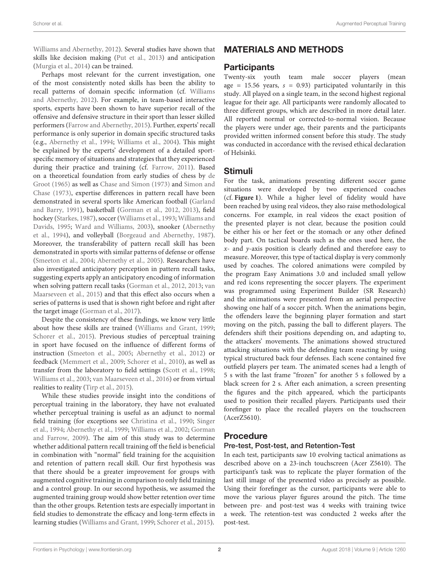[Williams and Abernethy,](#page-5-4) [2012\)](#page-5-4). Several studies have shown that skills like decision making [\(Put et al.,](#page-5-5) [2013\)](#page-5-5) and anticipation [\(Murgia et al.,](#page-4-1) [2014\)](#page-4-1) can be trained.

Perhaps most relevant for the current investigation, one of the most consistently noted skills has been the ability to recall patterns of domain specific information (cf. [Williams](#page-5-4) [and Abernethy,](#page-5-4) [2012\)](#page-5-4). For example, in team-based interactive sports, experts have been shown to have superior recall of the offensive and defensive structure in their sport than lesser skilled performers [\(Farrow and Abernethy,](#page-4-2) [2015\)](#page-4-2). Further, experts' recall performance is only superior in domain specific structured tasks (e.g., [Abernethy et al.,](#page-4-3) [1994;](#page-4-3) [Williams et al.,](#page-5-6) [2004\)](#page-5-6). This might be explained by the experts' development of a detailed sportspecific memory of situations and strategies that they experienced during their practice and training (cf. [Farrow,](#page-4-4) [2011\)](#page-4-4). Based on a theoretical foundation from early studies of chess by [de](#page-4-5) [Groot](#page-4-5) [\(1965\)](#page-4-5) as well as [Chase and Simon](#page-4-6) [\(1973\)](#page-4-6) and [Simon and](#page-5-7) [Chase](#page-5-7) [\(1973\)](#page-5-7), expertise differences in pattern recall have been demonstrated in several sports like American football [\(Garland](#page-4-7) [and Barry,](#page-4-7) [1991\)](#page-4-7), basketball [\(Gorman et al.,](#page-4-8) [2012,](#page-4-8) [2013\)](#page-4-9), field hockey [\(Starkes,](#page-5-8) [1987\)](#page-5-8), soccer [\(Williams et al.,](#page-5-9) [1993;](#page-5-9) [Williams and](#page-5-10) [Davids,](#page-5-10) [1995;](#page-5-10) [Ward and Williams,](#page-5-11) [2003\)](#page-5-11), snooker [\(Abernethy](#page-4-3) [et al.,](#page-4-3) [1994\)](#page-4-3), and volleyball [\(Borgeaud and Abernethy,](#page-4-10) [1987\)](#page-4-10). Moreover, the transferability of pattern recall skill has been demonstrated in sports with similar patterns of defense or offense [\(Smeeton et al.,](#page-5-12) [2004;](#page-5-12) [Abernethy et al.,](#page-4-11) [2005\)](#page-4-11). Researchers have also investigated anticipatory perception in pattern recall tasks, suggesting experts apply an anticipatory encoding of information when solving pattern recall tasks [\(Gorman et al.,](#page-4-8) [2012,](#page-4-8) [2013;](#page-4-9) [van](#page-5-13) [Maarseveen et al.,](#page-5-13) [2015\)](#page-5-13) and that this effect also occurs when a series of patterns is used that is shown right before and right after the target image [\(Gorman et al.,](#page-4-12) [2017\)](#page-4-12).

Despite the consistency of these findings, we know very little about how these skills are trained [\(Williams and Grant,](#page-5-1) [1999;](#page-5-1) [Schorer et al.,](#page-5-14) [2015\)](#page-5-14). Previous studies of perceptual training in sport have focused on the influence of different forms of instruction [\(Smeeton et al.,](#page-5-15) [2005;](#page-5-15) [Abernethy et al.,](#page-4-13) [2012\)](#page-4-13) or feedback [\(Memmert et al.,](#page-4-14) [2009;](#page-4-14) [Schorer et al.,](#page-5-16) [2010\)](#page-5-16), as well as transfer from the laboratory to field settings [\(Scott et al.,](#page-5-17) [1998;](#page-5-17) [Williams et al.,](#page-5-18) [2003;](#page-5-18) [van Maarseveen et al.,](#page-5-19) [2016\)](#page-5-19) or from virtual realities to reality [\(Tirp et al.,](#page-5-20) [2015\)](#page-5-20).

While these studies provide insight into the conditions of perceptual training in the laboratory, they have not evaluated whether perceptual training is useful as an adjunct to normal field training (for exceptions see [Christina et al.,](#page-4-0) [1990;](#page-4-0) [Singer](#page-5-21) [et al.,](#page-5-21) [1994;](#page-5-21) [Abernethy et al.,](#page-4-15) [1999;](#page-4-15) [Williams et al.,](#page-5-22) [2002;](#page-5-22) [Gorman](#page-4-16) [and Farrow,](#page-4-16) [2009\)](#page-4-16). The aim of this study was to determine whether additional pattern recall training off the field is beneficial in combination with "normal" field training for the acquisition and retention of pattern recall skill. Our first hypothesis was that there should be a greater improvement for groups with augmented cognitive training in comparison to only field training and a control group. In our second hypothesis, we assumed the augmented training group would show better retention over time than the other groups. Retention tests are especially important in field studies to demonstrate the efficacy and long-term effects in learning studies [\(Williams and Grant,](#page-5-1) [1999;](#page-5-1) [Schorer et al.,](#page-5-14) [2015\)](#page-5-14).

### MATERIALS AND METHODS

### **Participants**

Twenty-six youth team male soccer players (mean age = 15.56 years,  $s = 0.93$ ) participated voluntarily in this study. All played on a single team, in the second highest regional league for their age. All participants were randomly allocated to three different groups, which are described in more detail later. All reported normal or corrected-to-normal vision. Because the players were under age, their parents and the participants provided written informed consent before this study. The study was conducted in accordance with the revised ethical declaration of Helsinki.

### Stimuli

For the task, animations presenting different soccer game situations were developed by two experienced coaches (cf. **[Figure 1](#page-2-0)**). While a higher level of fidelity would have been reached by using real videos, they also raise methodological concerns. For example, in real videos the exact position of the presented player is not clear, because the position could be either his or her feet or the stomach or any other defined body part. On tactical boards such as the ones used here, the  $x$ - and  $y$ -axis position is clearly defined and therefore easy to measure. Moreover, this type of tactical display is very commonly used by coaches. The colored animations were compiled by the program Easy Animations 3.0 and included small yellow and red icons representing the soccer players. The experiment was programmed using Experiment Builder (SR Research) and the animations were presented from an aerial perspective showing one half of a soccer pitch. When the animations begin, the offenders leave the beginning player formation and start moving on the pitch, passing the ball to different players. The defenders shift their positions depending on, and adapting to, the attackers' movements. The animations showed structured attacking situations with the defending team reacting by using typical structured back four defenses. Each scene contained five outfield players per team. The animated scenes had a length of 5 s with the last frame "frozen" for another 5 s followed by a black screen for 2 s. After each animation, a screen presenting the figures and the pitch appeared, which the participants used to position their recalled players. Participants used their forefinger to place the recalled players on the touchscreen (AcerZ5610).

### Procedure

#### Pre-test, Post-test, and Retention-Test

In each test, participants saw 10 evolving tactical animations as described above on a 23-inch touchscreen (Acer Z5610). The participant's task was to replicate the player formation of the last still image of the presented video as precisely as possible. Using their forefinger as the cursor, participants were able to move the various player figures around the pitch. The time between pre- and post-test was 4 weeks with training twice a week. The retention-test was conducted 2 weeks after the post-test.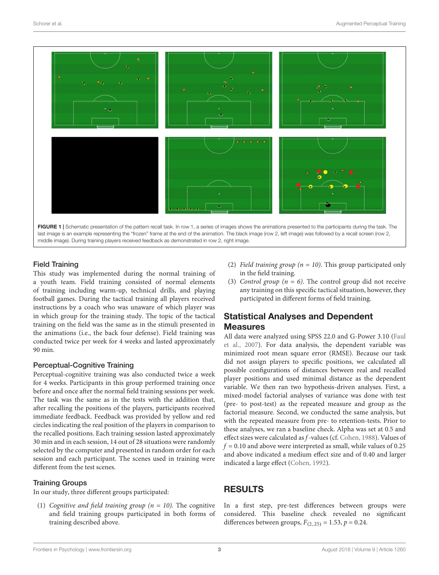

<span id="page-2-0"></span>Field Training

This study was implemented during the normal training of a youth team. Field training consisted of normal elements of training including warm-up, technical drills, and playing football games. During the tactical training all players received instructions by a coach who was unaware of which player was in which group for the training study. The topic of the tactical training on the field was the same as in the stimuli presented in the animations (i.e., the back four defense). Field training was conducted twice per week for 4 weeks and lasted approximately 90 min.

#### Perceptual-Cognitive Training

Perceptual-cognitive training was also conducted twice a week for 4 weeks. Participants in this group performed training once before and once after the normal field training sessions per week. The task was the same as in the tests with the addition that, after recalling the positions of the players, participants received immediate feedback. Feedback was provided by yellow and red circles indicating the real position of the players in comparison to the recalled positions. Each training session lasted approximately 30 min and in each session, 14 out of 28 situations were randomly selected by the computer and presented in random order for each session and each participant. The scenes used in training were different from the test scenes.

#### Training Groups

In our study, three different groups participated:

(1) Cognitive and field training group ( $n = 10$ ). The cognitive and field training groups participated in both forms of training described above.

- (2) Field training group ( $n = 10$ ). This group participated only in the field training.
- (3) Control group ( $n = 6$ ). The control group did not receive any training on this specific tactical situation, however, they participated in different forms of field training.

### Statistical Analyses and Dependent **Measures**

All data were analyzed using SPSS 22.0 and G-Power 3.10 [\(Faul](#page-4-17) [et al.,](#page-4-17) [2007\)](#page-4-17). For data analysis, the dependent variable was minimized root mean square error (RMSE). Because our task did not assign players to specific positions, we calculated all possible configurations of distances between real and recalled player positions and used minimal distance as the dependent variable. We then ran two hypothesis-driven analyses. First, a mixed-model factorial analyses of variance was done with test (pre- to post-test) as the repeated measure and group as the factorial measure. Second, we conducted the same analysis, but with the repeated measure from pre- to retention-tests. Prior to these analyses, we ran a baseline check. Alpha was set at 0.5 and effect sizes were calculated as f-values (cf. [Cohen,](#page-4-18) [1988\)](#page-4-18). Values of  $f = 0.10$  and above were interpreted as small, while values of 0.25 and above indicated a medium effect size and of 0.40 and larger indicated a large effect [\(Cohen,](#page-4-19) [1992\)](#page-4-19).

### **RESULTS**

In a first step, pre-test differences between groups were considered. This baseline check revealed no significant differences between groups,  $F_{(2,25)} = 1.53$ ,  $p = 0.24$ .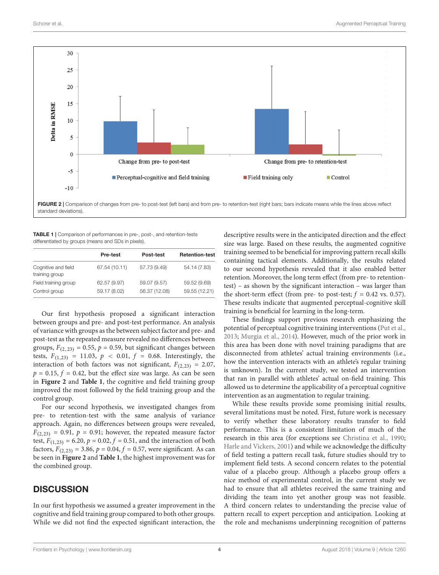

<span id="page-3-1"></span><span id="page-3-0"></span>TABLE 1 | Comparison of performances in pre-, post-, and retention-tests differentiated by groups (means and SDs in pixels).

| Pre-test      | Post-test     | <b>Retention-test</b> |  |
|---------------|---------------|-----------------------|--|
| 67.54 (10.11) | 57.73 (9.49)  | 54.14 (7.83)          |  |
| 62.57 (9.97)  | 59.07 (9.57)  | 59.52 (9.69)          |  |
| 59.17 (8.02)  | 56.37 (12.08) | 59.55 (12.21)         |  |
|               |               |                       |  |

Our first hypothesis proposed a significant interaction between groups and pre- and post-test performance. An analysis of variance with groups as the between subject factor and pre- and post-test as the repeated measure revealed no differences between groups,  $F_{(2,23)} = 0.55$ ,  $p = 0.59$ , but significant changes between tests,  $F_{(1,23)} = 11.03$ ,  $p < 0.01$ ,  $f = 0.68$ . Interestingly, the interaction of both factors was not significant,  $F_{(2,23)} = 2.07$ ,  $p = 0.15$ ,  $f = 0.42$ , but the effect size was large. As can be seen in **[Figure 2](#page-3-0)** and **[Table 1](#page-3-1)**, the cognitive and field training group improved the most followed by the field training group and the control group.

For our second hypothesis, we investigated changes from pre- to retention-test with the same analysis of variance approach. Again, no differences between groups were revealed,  $F_{(2,23)} = 0.91$ ,  $p = 0.91$ ; however, the repeated measure factor test,  $F_{(1,23)} = 6.20$ ,  $p = 0.02$ ,  $f = 0.51$ , and the interaction of both factors,  $F_{(2,23)} = 3.86$ ,  $p = 0.04$ ,  $f = 0.57$ , were significant. As can be seen in **[Figure 2](#page-3-0)** and **[Table 1](#page-3-1)**, the highest improvement was for the combined group.

### **DISCUSSION**

In our first hypothesis we assumed a greater improvement in the cognitive and field training group compared to both other groups. While we did not find the expected significant interaction, the descriptive results were in the anticipated direction and the effect size was large. Based on these results, the augmented cognitive training seemed to be beneficial for improving pattern recall skills containing tactical elements. Additionally, the results related to our second hypothesis revealed that it also enabled better retention. Moreover, the long term effect (from pre- to retentiontest) – as shown by the significant interaction – was larger than the short-term effect (from pre- to post-test;  $f = 0.42$  vs. 0.57). These results indicate that augmented perceptual-cognitive skill training is beneficial for learning in the long-term.

These findings support previous research emphasizing the potential of perceptual cognitive training interventions [\(Put et al.,](#page-5-5) [2013;](#page-5-5) [Murgia et al.,](#page-4-1) [2014\)](#page-4-1). However, much of the prior work in this area has been done with novel training paradigms that are disconnected from athletes' actual training environments (i.e., how the intervention interacts with an athlete's regular training is unknown). In the current study, we tested an intervention that ran in parallel with athletes' actual on-field training. This allowed us to determine the applicability of a perceptual cognitive intervention as an augmentation to regular training.

While these results provide some promising initial results, several limitations must be noted. First, future work is necessary to verify whether these laboratory results transfer to field performance. This is a consistent limitation of much of the research in this area (for exceptions see [Christina et al.,](#page-4-0) [1990;](#page-4-0) [Harle and Vickers,](#page-4-20) [2001\)](#page-4-20) and while we acknowledge the difficulty of field testing a pattern recall task, future studies should try to implement field tests. A second concern relates to the potential value of a placebo group. Although a placebo group offers a nice method of experimental control, in the current study we had to ensure that all athletes received the same training and dividing the team into yet another group was not feasible. A third concern relates to understanding the precise value of pattern recall to expert perception and anticipation. Looking at the role and mechanisms underpinning recognition of patterns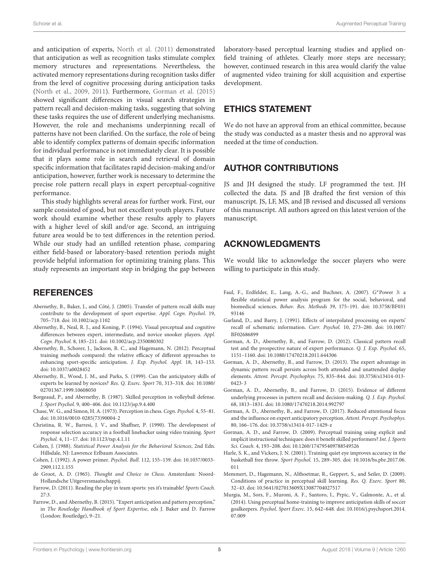and anticipation of experts, [North et al.](#page-5-23) [\(2011\)](#page-5-23) demonstrated that anticipation as well as recognition tasks stimulate complex memory structures and representations. Nevertheless, the activated memory representations during recognition tasks differ from the level of cognitive processing during anticipation tasks [\(North et al.,](#page-5-24) [2009,](#page-5-24) [2011\)](#page-5-23). Furthermore, [Gorman et al.](#page-4-21) [\(2015\)](#page-4-21) showed significant differences in visual search strategies in pattern recall and decision-making tasks, suggesting that solving these tasks requires the use of different underlying mechanisms. However, the role and mechanisms underpinning recall of patterns have not been clarified. On the surface, the role of being able to identify complex patterns of domain specific information for individual performance is not immediately clear. It is possible that it plays some role in search and retrieval of domain specific information that facilitates rapid decision-making and/or anticipation, however, further work is necessary to determine the precise role pattern recall plays in expert perceptual-cognitive performance.

This study highlights several areas for further work. First, our sample consisted of good, but not excellent youth players. Future work should examine whether these results apply to players with a higher level of skill and/or age. Second, an intriguing future area would be to test differences in the retention period. While our study had an unfilled retention phase, comparing either field-based or laboratory-based retention periods might provide helpful information for optimizing training plans. This study represents an important step in bridging the gap between

### **REFERENCES**

- <span id="page-4-11"></span>Abernethy, B., Baker, J., and Côté, J. (2005). Transfer of pattern recall skills may contribute to the development of sport expertise. Appl. Cogn. Psychol. 19, 705–718. [doi: 10.1002/acp.1102](https://doi.org/10.1002/acp.1102)
- <span id="page-4-3"></span>Abernethy, B., Neal, R. J., and Koning, P. (1994). Visual perceptual and cognitive differences between expert, intermediate, and novice snooker players. Appl. Cogn. Psychol. 8, 185–211. [doi: 10.1002/acp.2350080302](https://doi.org/10.1002/acp.2350080302)
- <span id="page-4-13"></span>Abernethy, B., Schorer, J., Jackson, R. C., and Hagemann, N. (2012). Perceptual training methods compared: the relative efficacy of different approaches to enhancing sport-specific anticipation. J. Exp. Psychol. Appl. 18, 143–153. [doi: 10.1037/a0028452](https://doi.org/10.1037/a0028452)
- <span id="page-4-15"></span>Abernethy, B., Wood, J. M., and Parks, S. (1999). Can the anticipatory skills of experts be learned by novices? Res. Q. Exerc. Sport 70, 313–318. [doi: 10.1080/](https://doi.org/10.1080/02701367.1999.10608050) [02701367.1999.10608050](https://doi.org/10.1080/02701367.1999.10608050)
- <span id="page-4-10"></span>Borgeaud, P., and Abernethy, B. (1987). Skilled perception in volleyball defense. J. Sport Psychol. 9, 400–406. [doi: 10.1123/jsp.9.4.400](https://doi.org/10.1123/jsp.9.4.400)
- <span id="page-4-6"></span>Chase, W. G., and Simon, H. A. (1973). Perception in chess. Cogn. Psychol. 4, 55–81. [doi: 10.1016/0010-0285\(73\)90004-2](https://doi.org/10.1016/0010-0285(73)90004-2)
- <span id="page-4-0"></span>Christina, R. W., Barresi, J. V., and Shaffner, P. (1990). The development of response selection accuracy in a football linebacker using video training. Sport Psychol. 4, 11–17. [doi: 10.1123/tsp.4.1.11](https://doi.org/10.1123/tsp.4.1.11)
- <span id="page-4-18"></span>Cohen, J. (1988). Statistical Power Analysis for the Behavioral Sciences, 2nd Edn. Hillsdale, NJ: Lawrence Erlbaum Associates.
- <span id="page-4-19"></span>Cohen, J. (1992). A power primer. Psychol. Bull. 112, 155–159. [doi: 10.1037/0033-](https://doi.org/10.1037/0033-2909.112.1.155) [2909.112.1.155](https://doi.org/10.1037/0033-2909.112.1.155)
- <span id="page-4-5"></span>de Groot, A. D. (1965). Thought and Choice in Chess. Amsterdam: Noord-Hollandsche Uitgeversmaatschappij.
- <span id="page-4-4"></span>Farrow, D. (2011). Reading the play in team sports: yes it's trainable! Sports Coach. 27:3.
- <span id="page-4-2"></span>Farrow, D., and Abernethy, B. (2015). "Expert anticipation and pattern perception," in The Routledge Handbook of Sport Expertise, eds J. Baker and D. Farrow (London: Routledge), 9–21.

laboratory-based perceptual learning studies and applied onfield training of athletes. Clearly more steps are necessary; however, continued research in this area would clarify the value of augmented video training for skill acquisition and expertise development.

## ETHICS STATEMENT

We do not have an approval from an ethical committee, because the study was conducted as a master thesis and no approval was needed at the time of conduction.

# AUTHOR CONTRIBUTIONS

JS and JH designed the study. LF programmed the test. JH collected the data. JS and JB drafted the first version of this manuscript. JS, LF, MS, and JB revised and discussed all versions of this manuscript. All authors agreed on this latest version of the manuscript.

### ACKNOWLEDGMENTS

We would like to acknowledge the soccer players who were willing to participate in this study.

- <span id="page-4-17"></span>Faul, F., Erdfelder, E., Lang, A.-G., and Buchner, A. (2007). G∗Power 3: a flexible statistical power analysis program for the social, behavioral, and biomedical sciences. Behav. Res. Methods 39, 175–191. [doi: 10.3758/BF031](https://doi.org/10.3758/BF03193146) [93146](https://doi.org/10.3758/BF03193146)
- <span id="page-4-7"></span>Garland, D., and Barry, J. (1991). Effects of interpolated processing on experts' recall of schematic information. Curr. Psychol. 10, 273–280. [doi: 10.1007/](https://doi.org/10.1007/BF02686899) [BF02686899](https://doi.org/10.1007/BF02686899)
- <span id="page-4-8"></span>Gorman, A. D., Abernethy, B., and Farrow, D. (2012). Classical pattern recall test and the prospective nature of expert performance. Q. J. Exp. Psychol. 65, 1151–1160. [doi: 10.1080/17470218.2011.644306](https://doi.org/10.1080/17470218.2011.644306)
- <span id="page-4-9"></span>Gorman, A. D., Abernethy, B., and Farrow, D. (2013). The expert advantage in dynamic pattern recall persists across both attended and unattended display elements. Attent. Percept. Psychophys. 75, 835–844. [doi: 10.3758/s13414-013-](https://doi.org/10.3758/s13414-013-0423-3) [0423-3](https://doi.org/10.3758/s13414-013-0423-3)
- <span id="page-4-21"></span>Gorman, A. D., Abernethy, B., and Farrow, D. (2015). Evidence of different underlying processes in pattern recall and decision-making. Q. J. Exp. Psychol. 68, 1813–1831. [doi: 10.1080/17470218.2014.992797](https://doi.org/10.1080/17470218.2014.992797)
- <span id="page-4-12"></span>Gorman, A. D., Abernethy, B., and Farrow, D. (2017). Reduced attentional focus and the influence on expert anticipatory perception. Attent. Percept. Psychophys. 80, 166–176. [doi: 10.3758/s13414-017-1429-z](https://doi.org/10.3758/s13414-017-1429-z)
- <span id="page-4-16"></span>Gorman, A. D., and Farrow, D. (2009). Perceptual training using explicit and implicit instructional techniques: does it benefit skilled performers? Int. J. Sports Sci. Coach. 4, 193–208. [doi: 10.1260/174795409788549526](https://doi.org/10.1260/174795409788549526)
- <span id="page-4-20"></span>Harle, S. K., and Vickers, J. N. (2001). Training quiet eye improves accuracy in the basketball free throw. Sport Psychol. 15, 289–305. [doi: 10.1016/bs.pbr.2017.06.](https://doi.org/10.1016/bs.pbr.2017.06.011) [011](https://doi.org/10.1016/bs.pbr.2017.06.011)
- <span id="page-4-14"></span>Memmert, D., Hagemann, N., Althoetmar, R., Geppert, S., and Seiler, D. (2009). Conditions of practice in perceptual skill learning. Res. Q. Exerc. Sport 80, 32–43. [doi: 10.5641/027013609X13087704027517](https://doi.org/10.5641/027013609X13087704027517)
- <span id="page-4-1"></span>Murgia, M., Sors, F., Muroni, A. F., Santoro, I., Prpic, V., Galmonte, A., et al. (2014). Using perceptual home-training to improve anticipation skills of soccer goalkeepers. Psychol. Sport Exerc. 15, 642–648. [doi: 10.1016/j.psychsport.2014.](https://doi.org/10.1016/j.psychsport.2014.07.009) [07.009](https://doi.org/10.1016/j.psychsport.2014.07.009)